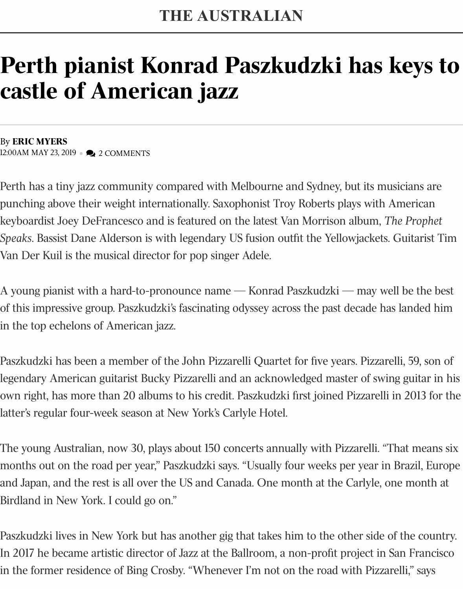## **castle of American jazz**

By **ERIC MYERS** 12:00AM MAY 23, 2019 • 2 COMMENTS

Perth has a tiny jazz community compared with Melbourne and Sydney, but its mu punching above their weight internationally. Saxophonist Troy Roberts plays with A keyboardist Joey DeFrancesco and is featured on the latest Van Morrison album, *The Prophetial* Speaks. Bassist Dane Alderson is with legendary US fusion outfit the Yellowjackets. Van Der Kuil is the musical director for pop singer Adele.

A young pianist with a hard-to-pronounce name — Konrad Paszkudzki — may we of this impressive group. Paszkudzki's fascinating odyssey across the past decade has in the top echelons of American jazz.

Paszkudzki has been a member of the John Pizzarelli Quartet for five years. Pizzare legendary American guitarist Bucky Pizzarelli and an acknowledged master of swin own right, has more than 20 albums to his credit. Paszkudzki first joined Pizzarelli latter's regular four-week season at New York's Carlyle Hotel.

The young Australian, now 30, plays about 150 concerts annually with Pizzarelli. "T months out on the road per year," Paszkudzki says. "Usually four weeks per year in and Japan, and the rest is all over the US and Canada. One month at the Carlyle, on Birdland in New York. I could go on."

Paszkudzki lives in New York but has another gig that takes him to the other side o In 2017 he became artistic director of Jazz at the Ballroom, a non-profit project in S in the former residence of Bing Crosby. "Whenever I'm not on the road with Pizzar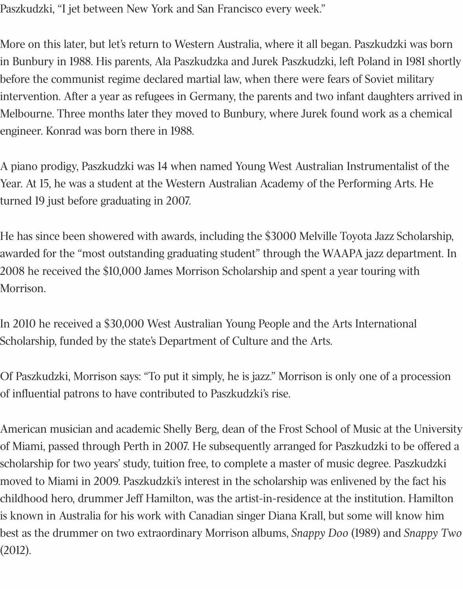Paszkudzki, "I jet between New York and San Francisco every week."

More on this later, but let's return to Western Australia, where it all began. Paszkudzki was born in Bunbury in 1988. His parents, Ala Paszkudzka and Jurek Paszkudzki, left Poland in 1981 shortly before the communist regime declared martial law, when there were fears of Soviet military intervention. After a year as refugees in Germany, the parents and two infant daughters arrived in Melbourne. Three months later they moved to Bunbury, where Jurek found work as a chemical engineer. Konrad was born there in 1988.

A piano prodigy, Paszkudzki was 14 when named Young West Australian Instrumentalist of the Year. At 15, he was a student at the Western Australian Academy of the Performing Arts. He turned 19 just before graduating in 2007.

He has since been showered with awards, including the \$3000 Melville Toyota Jazz Scholarship, awarded for the "most outstanding graduating student" through the WAAPA jazz department. In 2008 he received the \$10,000 James Morrison Scholarship and spent a year touring with Morrison.

In 2010 he received a \$30,000 West Australian Young People and the Arts International Scholarship, funded by the state's Department of Culture and the Arts.

Of Paszkudzki, Morrison says: "To put it simply, he is jazz." Morrison is only one of a procession of influential patrons to have contributed to Paszkudzki's rise.

American musician and academic Shelly Berg, dean of the Frost School of Music at the University of Miami, passed through Perth in 2007. He subsequently arranged for Paszkudzki to be offered a scholarship for two years' study, tuition free, to complete a master of music degree. Paszkudzki moved to Miami in 2009. Paszkudzki's interest in the scholarship was enlivened by the fact his childhood hero, drummer Jeff Hamilton, was the artist-in-residence at the institution. Hamilton is known in Australia for his work with Canadian singer Diana Krall, but some will know him best as the drummer on two extraordinary Morrison albums, *Snappy Doo* (1989) and *Snappy Two* (2012).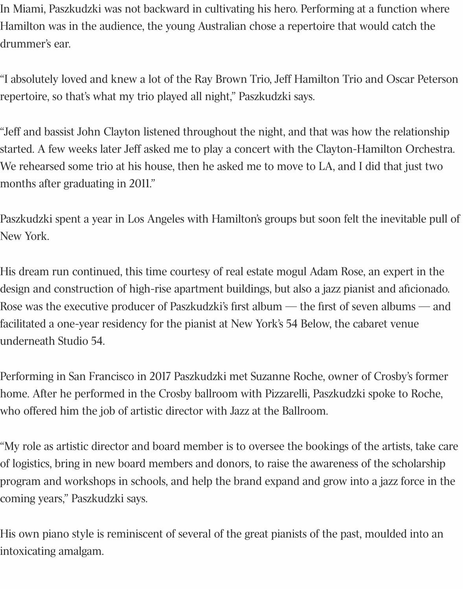In Miami, Paszkudzki was not backward in cultivating his hero. Performing at a function where Hamilton was in the audience, the young Australian chose a repertoire that would catch the drummer's ear.

"I absolutely loved and knew a lot of the Ray Brown Trio, Jeff Hamilton Trio and Oscar Peterson repertoire, so that's what my trio played all night," Paszkudzki says.

"Jeff and bassist John Clayton listened throughout the night, and that was how the relationship started. A few weeks later Jeff asked me to play a concert with the Clayton-Hamilton Orchestra. We rehearsed some trio at his house, then he asked me to move to LA, and I did that just two months after graduating in 2011."

Paszkudzki spent a year in Los Angeles with Hamilton's groups but soon felt the inevitable pull of New York.

His dream run continued, this time courtesy of real estate mogul Adam Rose, an expert in the design and construction of high-rise apartment buildings, but also a jazz pianist and aficionado. Rose was the executive producer of Paszkudzki's first album — the first of seven albums — and facilitated a one-year residency for the pianist at New York's 54 Below, the cabaret venue underneath Studio 54.

Performing in San Francisco in 2017 Paszkudzki met Suzanne Roche, owner of Crosby's former home. After he performed in the Crosby ballroom with Pizzarelli, Paszkudzki spoke to Roche, who offered him the job of artistic director with Jazz at the Ballroom.

"My role as artistic director and board member is to oversee the bookings of the artists, take care of logistics, bring in new board members and donors, to raise the awareness of the scholarship program and workshops in schools, and help the brand expand and grow into a jazz force in the coming years," Paszkudzki says.

His own piano style is reminiscent of several of the great pianists of the past, moulded into an intoxicating amalgam.